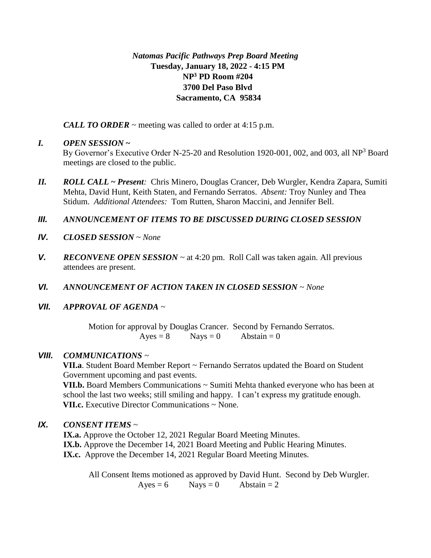#### *Natomas Pacific Pathways Prep Board Meeting* **Tuesday, January 18, 2022 - 4:15 PM NP<sup>3</sup> PD Room #204 3700 Del Paso Blvd Sacramento, CA 95834**

*CALL TO ORDER* ~ meeting was called to order at 4:15 p.m.

#### *I. OPEN SESSION* **~**

By Governor's Executive Order N-25-20 and Resolution 1920-001, 002, and 003, all NP<sup>3</sup> Board meetings are closed to the public.

*II. ROLL CALL* **~** *Present:* Chris Minero, Douglas Crancer, Deb Wurgler, Kendra Zapara, Sumiti Mehta, David Hunt, Keith Staten, and Fernando Serratos. *Absent:* Troy Nunley and Thea Stidum. *Additional Attendees:* Tom Rutten, Sharon Maccini, and Jennifer Bell.

# *III. ANNOUNCEMENT OF ITEMS TO BE DISCUSSED DURING CLOSED SESSION*

- *IV. CLOSED SESSION ~ None*
- *V. RECONVENE OPEN SESSION* ~ at 4:20 pm. Roll Call was taken again. All previous attendees are present.
- *VI. ANNOUNCEMENT OF ACTION TAKEN IN CLOSED SESSION ~ None*
- *VII. APPROVAL OF AGENDA ~*

Motion for approval by Douglas Crancer. Second by Fernando Serratos.  $Ayes = 8$  Nays = 0 Abstain = 0

# *VIII. COMMUNICATIONS ~*

**VII.a**. Student Board Member Report ~ Fernando Serratos updated the Board on Student Government upcoming and past events.

**VII.b.** Board Members Communications ~ Sumiti Mehta thanked everyone who has been at school the last two weeks; still smiling and happy. I can't express my gratitude enough. **VII.c.** Executive Director Communications ~ None.

# *IX. CONSENT ITEMS* ~

**IX.a.** Approve the October 12, 2021 Regular Board Meeting Minutes. **IX.b.** Approve the December 14, 2021 Board Meeting and Public Hearing Minutes. **IX.c.** Approve the December 14, 2021 Regular Board Meeting Minutes.

All Consent Items motioned as approved by David Hunt. Second by Deb Wurgler.  $Ayes = 6$  Nays = 0 Abstain = 2